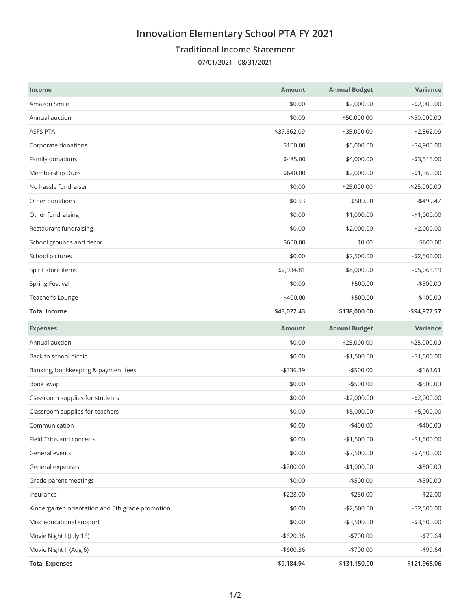## **Innovation Elementary School PTA FY 2021**

## **Traditional Income Statement**

**07/01/2021 - 08/31/2021**

| <b>Income</b>                                    | <b>Amount</b> | <b>Annual Budget</b> | Variance      |
|--------------------------------------------------|---------------|----------------------|---------------|
| Amazon Smile                                     | \$0.00        | \$2,000.00           | $-$2,000.00$  |
| Annual auction                                   | \$0.00        | \$50,000.00          | -\$50,000.00  |
| ASFS PTA                                         | \$37,862.09   | \$35,000.00          | \$2,862.09    |
| Corporate donations                              | \$100.00      | \$5,000.00           | $-$4,900.00$  |
| Family donations                                 | \$485.00      | \$4,000.00           | $- $3,515.00$ |
| Membership Dues                                  | \$640.00      | \$2,000.00           | $-$1,360.00$  |
| No hassle fundraiser                             | \$0.00        | \$25,000.00          | $-$25,000.00$ |
| Other donations                                  | \$0.53        | \$500.00             | $-$499.47$    |
| Other fundraising                                | \$0.00        | \$1,000.00           | $-$1,000.00$  |
| Restaurant fundraising                           | \$0.00        | \$2,000.00           | $-$2,000.00$  |
| School grounds and decor                         | \$600.00      | \$0.00               | \$600.00      |
| School pictures                                  | \$0.00        | \$2,500.00           | $-$2,500.00$  |
| Spirit store items                               | \$2,934.81    | \$8,000.00           | $- $5,065.19$ |
| <b>Spring Festival</b>                           | \$0.00        | \$500.00             | $-$500.00$    |
| Teacher's Lounge                                 | \$400.00      | \$500.00             | $-$100.00$    |
| <b>Total Income</b>                              | \$43,022.43   | \$138,000.00         | -\$94,977.57  |
| <b>Expenses</b>                                  | <b>Amount</b> | <b>Annual Budget</b> | Variance      |
| Annual auction                                   | \$0.00        | $-$25,000.00$        | $-$25,000.00$ |
| Back to school picnic                            | \$0.00        | $-$1,500.00$         | $-$1,500.00$  |
| Banking, bookkeeping & payment fees              | $-$336.39$    | $-$500.00$           | $-$163.61$    |
| Book swap                                        | \$0.00        | $-$500.00$           | $-$500.00$    |
| Classroom supplies for students                  | \$0.00        | $-$2,000.00$         | $-$2,000.00$  |
| Classroom supplies for teachers                  | \$0.00        | $-$5,000.00$         | $-$5,000.00$  |
| Communication                                    | \$0.00        | $-$ \$400.00         | $-$400.00$    |
| Field Trips and concerts                         | \$0.00        | $-$1,500.00$         | $-$1,500.00$  |
| General events                                   | \$0.00        | $-$7,500.00$         | $-$7,500.00$  |
| General expenses                                 | $-$200.00$    | $-$1,000.00$         | $-$ \$800.00  |
| Grade parent meetings                            | \$0.00        | $- $500.00$          | $-$500.00$    |
| Insurance                                        | $-$228.00$    | $-$250.00$           | $-$22.00$     |
| Kindergarten orientation and 5th grade promotion | \$0.00        | $-$2,500.00$         | $-$2,500.00$  |
| Misc educational support                         | \$0.00        | $-$3,500.00$         | $- $3,500.00$ |
| Movie Night I (July 16)                          | $- $620.36$   | $-$700.00$           | $-$79.64$     |
|                                                  |               |                      |               |
| Movie Night II (Aug 6)                           | $-$ \$600.36  | $-$700.00$           | $-$ \$99.64   |